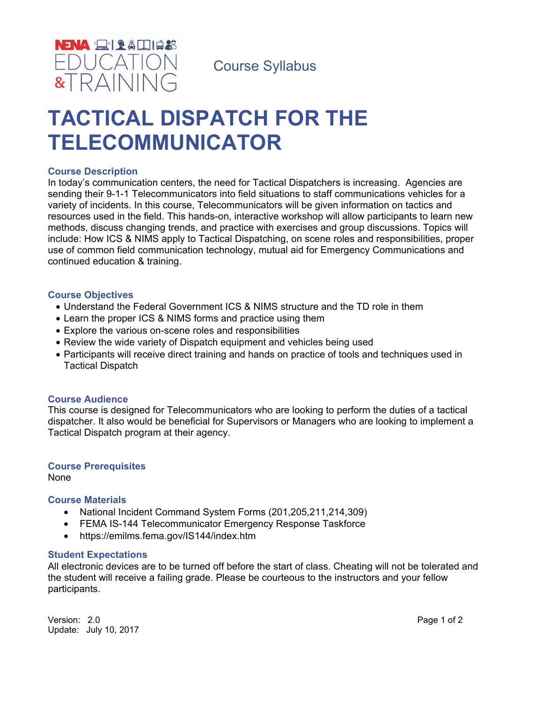

Course Syllabus

# **TACTICAL DISPATCH FOR THE TELECOMMUNICATOR**

#### **Course Description**

In today's communication centers, the need for Tactical Dispatchers is increasing. Agencies are sending their 9-1-1 Telecommunicators into field situations to staff communications vehicles for a variety of incidents. In this course, Telecommunicators will be given information on tactics and resources used in the field. This hands-on, interactive workshop will allow participants to learn new methods, discuss changing trends, and practice with exercises and group discussions. Topics will include: How ICS & NIMS apply to Tactical Dispatching, on scene roles and responsibilities, proper use of common field communication technology, mutual aid for Emergency Communications and continued education & training.

#### **Course Objectives**

- Understand the Federal Government ICS & NIMS structure and the TD role in them
- Learn the proper ICS & NIMS forms and practice using them
- Explore the various on-scene roles and responsibilities
- Review the wide variety of Dispatch equipment and vehicles being used
- Participants will receive direct training and hands on practice of tools and techniques used in Tactical Dispatch

#### **Course Audience**

This course is designed for Telecommunicators who are looking to perform the duties of a tactical dispatcher. It also would be beneficial for Supervisors or Managers who are looking to implement a Tactical Dispatch program at their agency.

### **Course Prerequisites**

None

#### **Course Materials**

- National Incident Command System Forms (201,205,211,214,309)
- FEMA IS-144 Telecommunicator Emergency Response Taskforce
- https://emilms.fema.gov/IS144/index.htm

#### **Student Expectations**

All electronic devices are to be turned off before the start of class. Cheating will not be tolerated and the student will receive a failing grade. Please be courteous to the instructors and your fellow participants.

Version: 2.0 **Page 1 of 2** Update: July 10, 2017